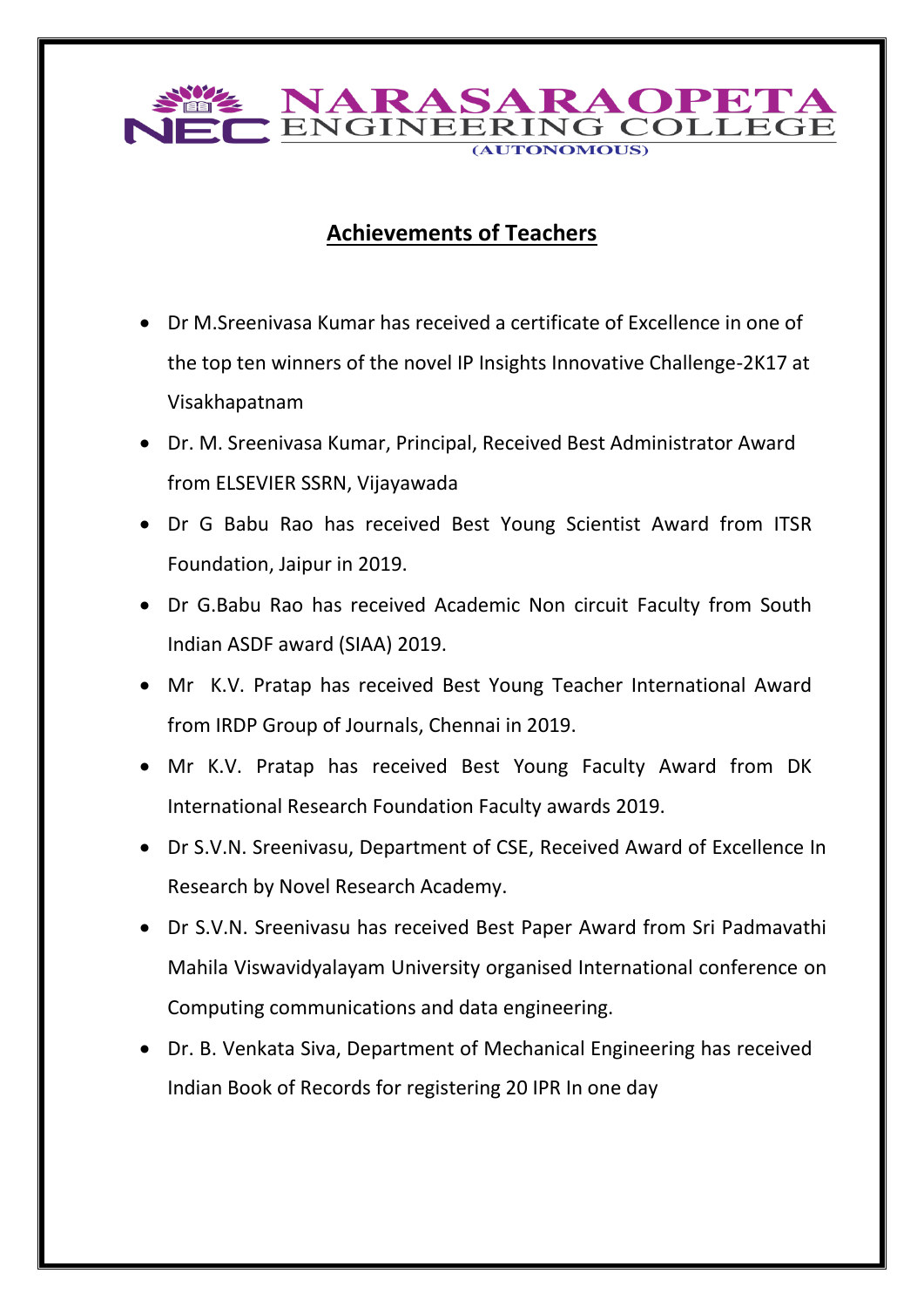

## **Achievements of Teachers**

- Dr M.Sreenivasa Kumar has received a certificate of Excellence in one of the top ten winners of the novel IP Insights Innovative Challenge-2K17 at Visakhapatnam
- Dr. M. Sreenivasa Kumar, Principal, Received Best Administrator Award from ELSEVIER SSRN, Vijayawada
- Dr G Babu Rao has received Best Young Scientist Award from ITSR Foundation, Jaipur in 2019.
- Dr G.Babu Rao has received Academic Non circuit Faculty from South Indian ASDF award (SIAA) 2019.
- Mr K.V. Pratap has received Best Young Teacher International Award from IRDP Group of Journals, Chennai in 2019.
- Mr K.V. Pratap has received Best Young Faculty Award from DK International Research Foundation Faculty awards 2019.
- Dr S.V.N. Sreenivasu, Department of CSE, Received Award of Excellence In Research by Novel Research Academy.
- Dr S.V.N. Sreenivasu has received Best Paper Award from Sri Padmavathi Mahila Viswavidyalayam University organised International conference on Computing communications and data engineering.
- Dr. B. Venkata Siva, Department of Mechanical Engineering has received Indian Book of Records for registering 20 IPR In one day